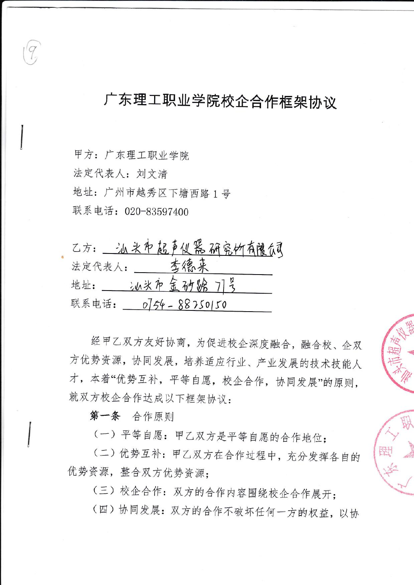## 广东理工职业学院校企合作框架协议

甲方: 广东理工职业学院 法定代表人: 刘文清

地址:广州市越秀区下塘西路1号

联系电话: 020-83597400

| 乙方:一冰头布起声仪器研究所有限负引         |
|----------------------------|
| 李德来<br>法定代表人:              |
| 汕头市金砂路 77号<br>地址:          |
| 联系电话:<br>$0754 - 88750150$ |

经甲乙双方友好协商,为促进校企深度融合,融合校、企双 方优势资源,协同发展,培养适应行业、产业发展的技术技能人 才,本着"优势互补,平等自愿,校企合作,协同发展"的原则, 就双方校企合作达成以下框架协议:

第一条 合作原则

(一)平等自愿:甲乙双方是平等自愿的合作地位;

(二)优势互补: 甲乙双方在合作过程中, 充分发挥各自的 优势资源, 整合双方优势资源;

(三) 校企合作: 双方的合作内容围绕校企合作展开;

(四)协同发展: 双方的合作不破坏任何一方的权益, 以协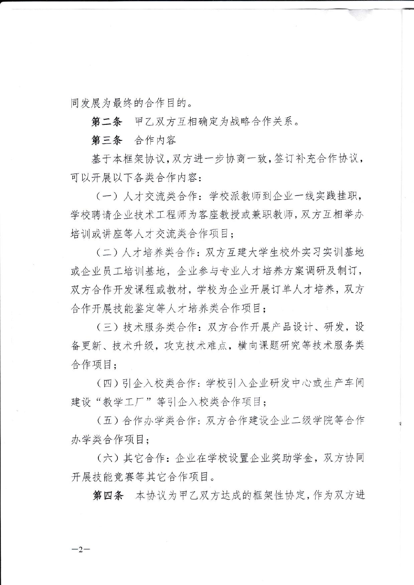同发展为最终的合作目的。

第二条 甲乙双方互相确定为战略合作关系。

第三条 合作内容

 $-2-$ 

基于本框架协议, 双方进一步协商一致, 签订补充合作协议. 可以开展以下各类合作内容:

(一) 人才交流类合作: 学校派教师到企业一线实践挂职, 学校聘请企业技术工程师为客座教授或兼职教师, 双方互相举办 培训或讲座等人才交流类合作项目:

(二)人才培养类合作: 双方互建大学生校外实习实训基地 或企业员工培训基地,企业参与专业人才培养方案调研及制订, 双方合作开发课程或教材, 学校为企业开展订单人才培养, 双方 合作开展技能鉴定等人才培养类合作项目;

(三) 技术服务类合作: 双方合作开展产品设计、研发, 设 备更新、技术升级,攻克技术难点,横向课题研究等技术服务类 合作项目:

(四)引企入校类合作: 学校引入企业研发中心或生产车间 建设"教学工厂"等引企入校类合作项目:

(五)合作办学类合作: 双方合作建设企业二级学院等合作 办学类合作项目:

(六)其它合作:企业在学校设置企业奖助学金,双方协同 开展技能竞赛等其它合作项目。

第四条 本协议为甲乙双方达成的框架性协定,作为双方进